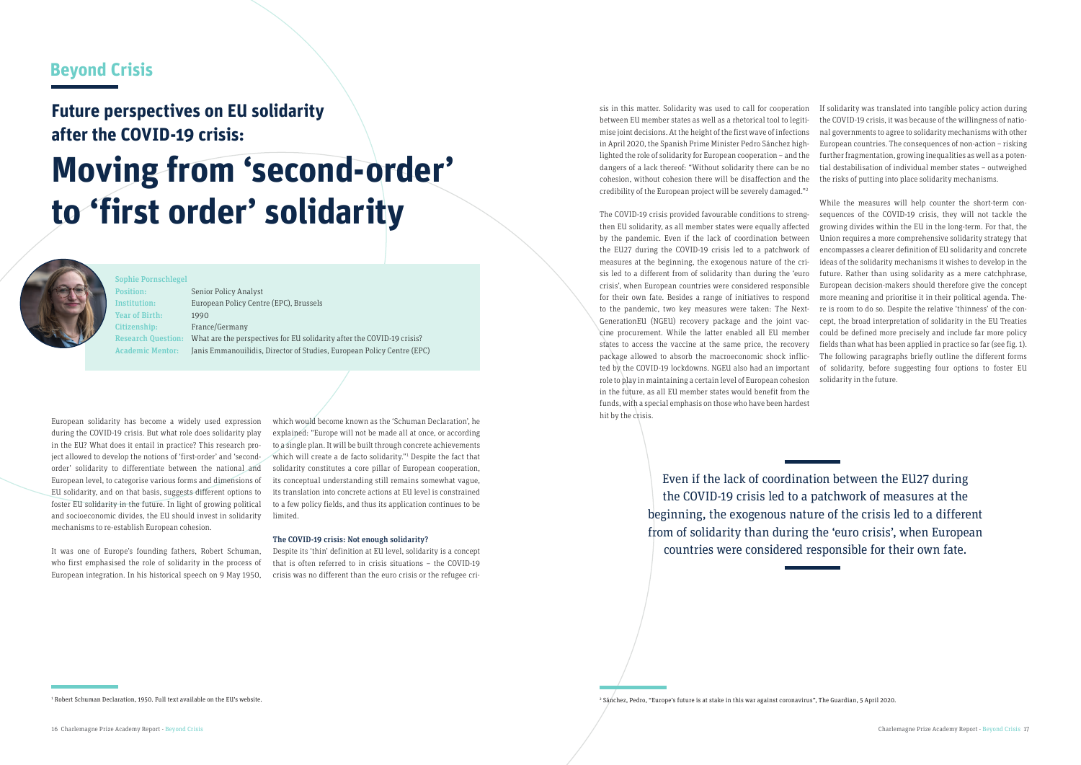## **Beyond Crisis**

## **Future perspectives on EU solidarity after the COVID-19 crisis:**

# **Moving from 'second-order' to 'first order' solidarity**



European solidarity has become a widely used expression during the COVID-19 crisis. But what role does solidarity play in the EU? What does it entail in practice? This research project allowed to develop the notions of 'first-order' and 'secondorder' solidarity to differentiate between the national and European level, to categorise various forms and dimensions of EU solidarity, and on that basis, suggests different options to foster EU solidarity in the future. In light of growing political and socioeconomic divides, the EU should invest in solidarity mechanisms to re-establish European cohesion.

It was one of Europe's founding fathers, Robert Schuman, who first emphasised the role of solidarity in the process of European integration. In his historical speech on 9 May 1950,

which would become known as the 'Schuman Declaration', he explained: "Europe will not be made all at once, or according to a single plan. It will be built through concrete achievements which will create a de facto solidarity."1 Despite the fact that solidarity constitutes a core pillar of European cooperation, its conceptual understanding still remains somewhat vague, its translation into concrete actions at EU level is constrained to a few policy fields, and thus its application continues to be limited.

#### The COVID-19 crisis: Not enough solidarity?

Despite its 'thin' definition at EU level, solidarity is a concept that is often referred to in crisis situations – the COVID-19 crisis was no different than the euro crisis or the refugee crisis in this matter. Solidarity was used to call for cooperation between EU member states as well as a rhetorical tool to legitimise joint decisions. At the height of the first wave of infections in April 2020, the Spanish Prime Minister Pedro Sánchez highlighted the role of solidarity for European cooperation – and the dangers of a lack thereof: "Without solidarity there can be no cohesion, without cohesion there will be disaffection and the credibility of the European project will be severely damaged."2

The COVID-19 crisis provided favourable conditions to strengthen EU solidarity, as all member states were equally affected by the pandemic. Even if the lack of coordination between the EU27 during the COVID-19 crisis led to a patchwork of measures at the beginning, the exogenous nature of the crisis led to a different from of solidarity than during the 'euro crisis', when European countries were considered responsible for their own fate. Besides a range of initiatives to respond to the pandemic, two key measures were taken: The Next-GenerationEU (NGEU) recovery package and the joint vaccine procurement. While the latter enabled all EU member states to access the vaccine at the same price, the recovery package allowed to absorb the macroeconomic shock inflicted by the COVID-19 lockdowns. NGEU also had an important role to play in maintaining a certain level of European cohesion in the future, as all EU member states would benefit from the funds, with a special emphasis on those who have been hardest hit by the crisis.

If solidarity was translated into tangible policy action during the COVID-19 crisis, it was because of the willingness of national governments to agree to solidarity mechanisms with other European countries. The consequences of non-action – risking further fragmentation, growing inequalities as well as a potential destabilisation of individual member states – outweighed the risks of putting into place solidarity mechanisms.

While the measures will help counter the short-term consequences of the COVID-19 crisis, they will not tackle the growing divides within the EU in the long-term. For that, the Union requires a more comprehensive solidarity strategy that encompasses a clearer definition of EU solidarity and concrete ideas of the solidarity mechanisms it wishes to develop in the future. Rather than using solidarity as a mere catchphrase, European decision-makers should therefore give the concept more meaning and prioritise it in their political agenda. There is room to do so. Despite the relative 'thinness' of the concept, the broad interpretation of solidarity in the EU Treaties could be defined more precisely and include far more policy fields than what has been applied in practice so far (see fig. 1). The following paragraphs briefly outline the different forms of solidarity, before suggesting four options to foster EU solidarity in the future.

<sup>2</sup> Sánchez, Pedro, "Europe's future is at stake in this war against coronavirus", The Guardian, 5 April 2020. 1

Sophie Pornschlegel Year of Birth: 1990

Position: Senior Policy Analyst Institution: European Policy Centre (EPC), Brussels Citizenship: France/Germany Research Question: What are the perspectives for EU solidarity after the COVID-19 crisis? Academic Mentor: Janis Emmanouilidis, Director of Studies, European Policy Centre (EPC)

> Even if the lack of coordination between the EU27 during the COVID-19 crisis led to a patchwork of measures at the beginning, the exogenous nature of the crisis led to a different from of solidarity than during the 'euro crisis', when European countries were considered responsible for their own fate.

Robert Schuman Declaration, 1950. Full text available on the EU's website.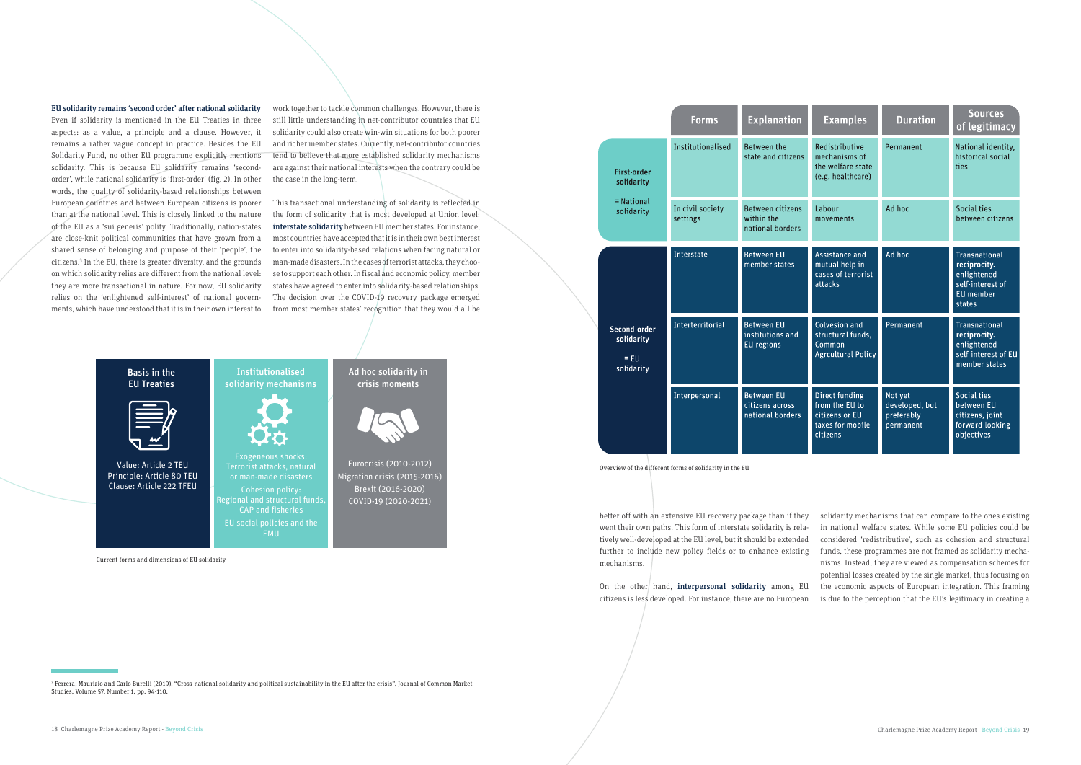

#### EU solidarity remains 'second order' after national solidarity

Even if solidarity is mentioned in the EU Treaties in three aspects: as a value, a principle and a clause. However, it remains a rather vague concept in practice. Besides the EU Solidarity Fund, no other EU programme explicitly mentions solidarity. This is because EU solidarity remains 'secondorder', while national solidarity is 'first-order' (fig. 2). In other words, the quality of solidarity-based relationships between European countries and between European citizens is poorer than at the national level. This is closely linked to the nature of the EU as a 'sui generis' polity. Traditionally, nation-states are close-knit political communities that have grown from a shared sense of belonging and purpose of their 'people', the citizens.3 In the EU, there is greater diversity, and the grounds on which solidarity relies are different from the national level: they are more transactional in nature. For now, EU solidarity relies on the 'enlightened self-interest' of national governments, which have understood that it is in their own interest to

> On the other hand, interpersonal solidarity among EU citizens is less developed. For instance, there are no European

work together to tackle common challenges. However, there is still little understanding in net-contributor countries that EU solidarity could also create win-win situations for both poorer and richer member states. Currently, net-contributor countries tend to believe that more established solidarity mechanisms are against their national interests when the contrary could be the case in the long-term.

|  |                                                                | <b>Forms</b>                                            | <b>Explanation</b>                                         | <b>Examples</b>                                                                    | <b>Duration</b>                                      | <b>Sources</b><br>of legitimacy                                                         |
|--|----------------------------------------------------------------|---------------------------------------------------------|------------------------------------------------------------|------------------------------------------------------------------------------------|------------------------------------------------------|-----------------------------------------------------------------------------------------|
|  | <b>First-order</b><br>solidarity<br>$=$ National<br>solidarity | Institutionalised                                       | <b>Between the</b><br>state and citizens                   | Redistributive<br>mechanisms of<br>the welfare state<br>(e.g. healthcare)          | Permanent                                            | National identity,<br>historical social<br>ties                                         |
|  |                                                                | In civil society<br>settings                            | <b>Between citizens</b><br>within the<br>national borders  | Labour<br>movements                                                                | Ad hoc                                               | Social ties<br>between citizens                                                         |
|  | Second-order<br>solidarity<br>$=$ EU<br>solidarity             | Interstate                                              | <b>Between EU</b><br>member states                         | Assistance and<br>mutual help in<br>cases of terrorist<br>attacks                  | Ad hoc                                               | Transnational<br>reciprocity.<br>enlightened<br>self-interest of<br>EU member<br>states |
|  |                                                                | Interterritorial                                        | <b>Between EU</b><br>institutions and<br><b>EU</b> regions | Colvesion and<br>structural funds,<br>Common<br><b>Agrcultural Policy</b>          | Permanent                                            | Transnational<br>reciprocity.<br>enlightened<br>self-interest of EU<br>member states    |
|  |                                                                | Interpersonal                                           | <b>Between EU</b><br>citizens across<br>national borders   | Direct funding<br>from the EU to<br>citizens or EU<br>taxes for mobile<br>citizens | Not yet<br>developed, but<br>preferably<br>permanent | Social ties<br>between EU<br>citizens, joint<br>forward-looking<br>objectives           |
|  |                                                                | Overview of the different forms of solidarity in the EU |                                                            |                                                                                    |                                                      |                                                                                         |

This transactional understanding of solidarity is reflected in the form of solidarity that is most developed at Union level: interstate solidarity between EU member states. For instance, most countries have accepted that it is in their own best interest to enter into solidarity-based relations when facing natural or man-made disasters. In the cases of terrorist attacks, they choose to support each other. In fiscal and economic policy, member states have agreed to enter into solidarity-based relationships. The decision over the COVID-19 recovery package emerged from most member states' recognition that they would all be

3 Ferrera, Maurizio and Carlo Burelli (2019), "Cross-national solidarity and political sustainability in the EU after the crisis", Journal of Common Market Studies, Volume 57, Number 1, pp. 94-110.

better off with an extensive EU recovery package than if they went their own paths. This form of interstate solidarity is relatively well-developed at the EU level, but it should be extended further to include new policy fields or to enhance existing

mechanisms.

solidarity mechanisms that can compare to the ones existing in national welfare states. While some EU policies could be considered 'redistributive', such as cohesion and structural funds, these programmes are not framed as solidarity mechanisms. Instead, they are viewed as compensation schemes for potential losses created by the single market, thus focusing on the economic aspects of European integration. This framing is due to the perception that the EU's legitimacy in creating a

Current forms and dimensions of EU solidarity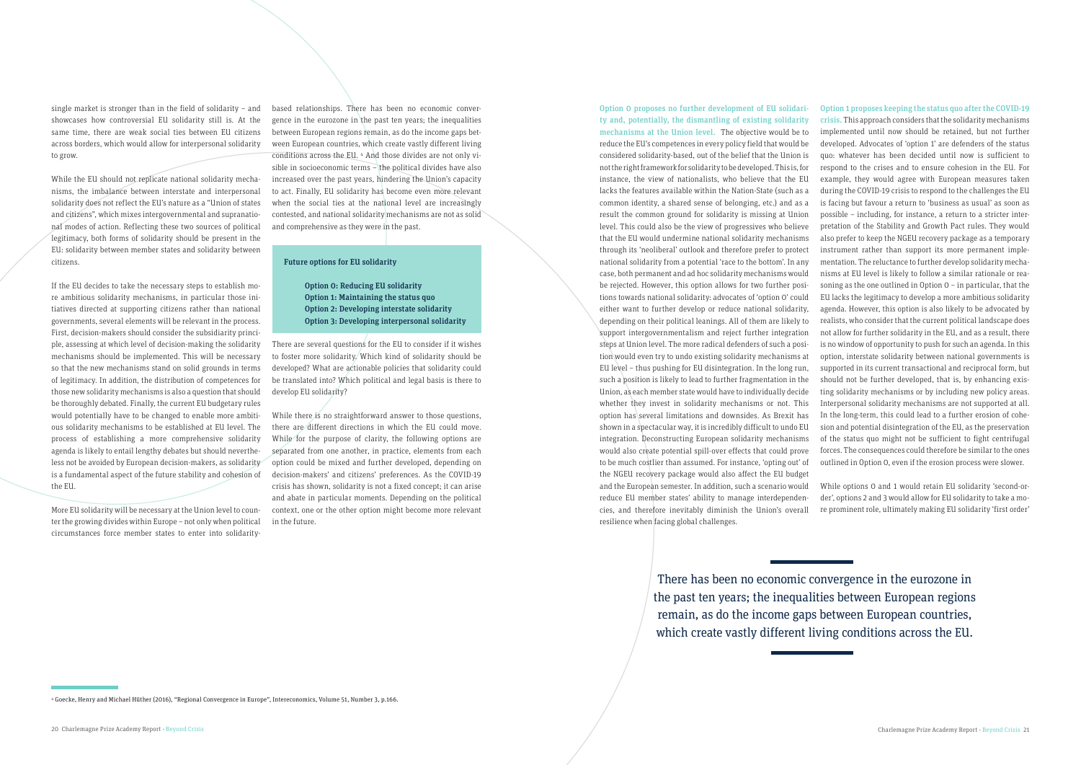4 Goecke, Henry and Michael Hüther (2016), "Regional Convergence in Europe", Intereconomics, Volume 51, Number 3, p.166.

There has been no economic convergence in the eurozone in the past ten years; the inequalities between European regions remain, as do the income gaps between European countries, which create vastly different living conditions across the EU.

single market is stronger than in the field of solidarity – and showcases how controversial EU solidarity still is. At the same time, there are weak social ties between EU citizens across borders, which would allow for interpersonal solidarity to grow.

While the EU should not replicate national solidarity mechanisms, the imbalance between interstate and interpersonal solidarity does not reflect the EU's nature as a "Union of states and citizens", which mixes intergovernmental and supranational modes of action. Reflecting these two sources of political legitimacy, both forms of solidarity should be present in the EU: solidarity between member states and solidarity between citizens.

If the EU decides to take the necessary steps to establish more ambitious solidarity mechanisms, in particular those initiatives directed at supporting citizens rather than national governments, several elements will be relevant in the process. First, decision-makers should consider the subsidiarity principle, assessing at which level of decision-making the solidarity mechanisms should be implemented. This will be necessary so that the new mechanisms stand on solid grounds in terms of legitimacy. In addition, the distribution of competences for those new solidarity mechanisms is also a question that should be thoroughly debated. Finally, the current EU budgetary rules would potentially have to be changed to enable more ambitious solidarity mechanisms to be established at EU level. The process of establishing a more comprehensive solidarity agenda is likely to entail lengthy debates but should nevertheless not be avoided by European decision-makers, as solidarity is a fundamental aspect of the future stability and cohesion of the EU.

While there is no straightforward answer to those questions, there are different directions in which the EU could move. While for the purpose of clarity, the following options are separated from one another, in practice, elements from each option could be mixed and further developed, depending on decision-makers' and citizens' preferences. As the COVID-19 crisis has shown, solidarity is not a fixed concept; it can arise and abate in particular moments. Depending on the political context, one or the other option might become more relevant in the future.

More EU solidarity will be necessary at the Union level to counter the growing divides within Europe – not only when political circumstances force member states to enter into solidaritybased relationships. There has been no economic convergence in the eurozone in the past ten years; the inequalities between European regions remain, as do the income gaps between European countries, which create vastly different living conditions across the EU. 4 And those divides are not only visible in socioeconomic terms – the political divides have also increased over the past years, hindering the Union's capacity to act. Finally, EU solidarity has become even more relevant when the social ties at the national level are increasingly contested, and national solidarity mechanisms are not as solid and comprehensive as they were in the past.

#### Future options for EU solidarity

Option 0: Reducing EU solidarity Option 1: Maintaining the status quo Option 2: Developing interstate solidarity Option 3: Developing interpersonal solidarity

There are several questions for the EU to consider if it wishes to foster more solidarity. Which kind of solidarity should be developed? What are actionable policies that solidarity could be translated into? Which political and legal basis is there to develop EU solidarity?

Option 0 proposes no further development of EU solidarity and, potentially, the dismantling of existing solidarity mechanisms at the Union level. The objective would be to reduce the EU's competences in every policy field that would be considered solidarity-based, out of the belief that the Union is not the right framework for solidarity to be developed. This is, for instance, the view of nationalists, who believe that the EU lacks the features available within the Nation-State (such as a common identity, a shared sense of belonging, etc.) and as a result the common ground for solidarity is missing at Union level. This could also be the view of progressives who believe that the EU would undermine national solidarity mechanisms through its 'neoliberal' outlook and therefore prefer to protect national solidarity from a potential 'race to the bottom'. In any case, both permanent and ad hoc solidarity mechanisms would be rejected. However, this option allows for two further positions towards national solidarity: advocates of 'option 0' could either want to further develop or reduce national solidarity, depending on their political leanings. All of them are likely to support intergovernmentalism and reject further integration steps at Union level. The more radical defenders of such a position would even try to undo existing solidarity mechanisms at EU level – thus pushing for EU disintegration. In the long run, such a position is likely to lead to further fragmentation in the Union, as each member state would have to individually decide whether they invest in solidarity mechanisms or not. This option has several limitations and downsides. As Brexit has shown in a spectacular way, it is incredibly difficult to undo EU integration. Deconstructing European solidarity mechanisms would also create potential spill-over effects that could prove to be much costlier than assumed. For instance, 'opting out' of the NGEU recovery package would also affect the EU budget and the European semester. In addition, such a scenario would reduce EU member states' ability to manage interdependencies, and therefore inevitably diminish the Union's overall resilience when facing global challenges.

Option 1 proposes keeping the status quo after the COVID-19 crisis. This approach considers that the solidarity mechanisms implemented until now should be retained, but not further developed. Advocates of 'option 1' are defenders of the status quo: whatever has been decided until now is sufficient to respond to the crises and to ensure cohesion in the EU. For example, they would agree with European measures taken during the COVID-19 crisis to respond to the challenges the EU is facing but favour a return to 'business as usual' as soon as possible – including, for instance, a return to a stricter interpretation of the Stability and Growth Pact rules. They would also prefer to keep the NGEU recovery package as a temporary instrument rather than support its more permanent implementation. The reluctance to further develop solidarity mechanisms at EU level is likely to follow a similar rationale or reasoning as the one outlined in Option 0 – in particular, that the EU lacks the legitimacy to develop a more ambitious solidarity agenda. However, this option is also likely to be advocated by realists, who consider that the current political landscape does not allow for further solidarity in the EU, and as a result, there is no window of opportunity to push for such an agenda. In this option, interstate solidarity between national governments is supported in its current transactional and reciprocal form, but should not be further developed, that is, by enhancing existing solidarity mechanisms or by including new policy areas. Interpersonal solidarity mechanisms are not supported at all. In the long-term, this could lead to a further erosion of cohesion and potential disintegration of the EU, as the preservation of the status quo might not be sufficient to fight centrifugal forces. The consequences could therefore be similar to the ones outlined in Option 0, even if the erosion process were slower.

While options 0 and 1 would retain EU solidarity 'second-order', options 2 and 3 would allow for EU solidarity to take a more prominent role, ultimately making EU solidarity 'first order'